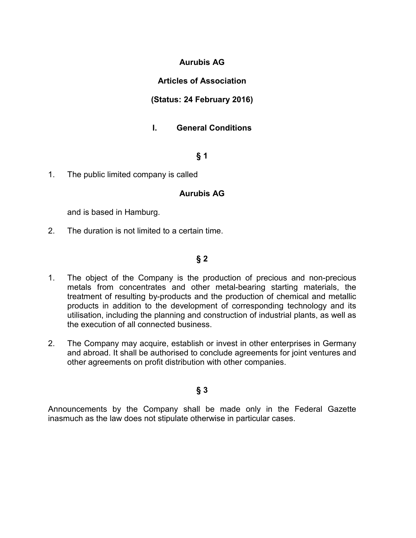## **Aurubis AG**

## **Articles of Association**

## **(Status: 24 February 2016)**

# **I. General Conditions**

# **§ 1**

1. The public limited company is called

## **Aurubis AG**

and is based in Hamburg.

2. The duration is not limited to a certain time.

## **§ 2**

- 1. The object of the Company is the production of precious and non-precious metals from concentrates and other metal-bearing starting materials, the treatment of resulting by-products and the production of chemical and metallic products in addition to the development of corresponding technology and its utilisation, including the planning and construction of industrial plants, as well as the execution of all connected business.
- 2. The Company may acquire, establish or invest in other enterprises in Germany and abroad. It shall be authorised to conclude agreements for joint ventures and other agreements on profit distribution with other companies.

# **§ 3**

Announcements by the Company shall be made only in the Federal Gazette inasmuch as the law does not stipulate otherwise in particular cases.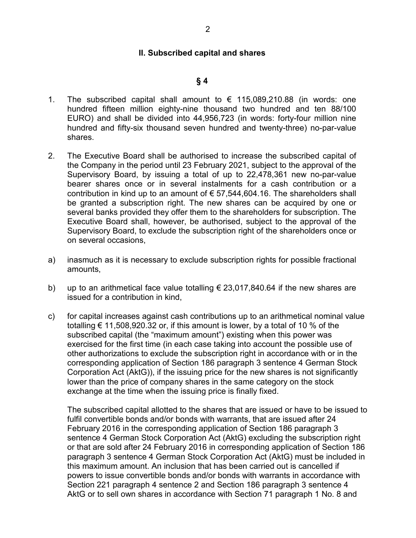#### **II. Subscribed capital and shares**

#### **§ 4**

- 1. The subscribed capital shall amount to  $\epsilon$  115,089,210.88 (in words: one hundred fifteen million eighty-nine thousand two hundred and ten 88/100 EURO) and shall be divided into 44,956,723 (in words: forty-four million nine hundred and fifty-six thousand seven hundred and twenty-three) no-par-value shares.
- 2. The Executive Board shall be authorised to increase the subscribed capital of the Company in the period until 23 February 2021, subject to the approval of the Supervisory Board, by issuing a total of up to 22,478,361 new no-par-value bearer shares once or in several instalments for a cash contribution or a contribution in kind up to an amount of  $\epsilon$  57,544,604.16. The shareholders shall be granted a subscription right. The new shares can be acquired by one or several banks provided they offer them to the shareholders for subscription. The Executive Board shall, however, be authorised, subject to the approval of the Supervisory Board, to exclude the subscription right of the shareholders once or on several occasions,
- a) inasmuch as it is necessary to exclude subscription rights for possible fractional amounts,
- b) up to an arithmetical face value totalling  $\epsilon$  23,017,840.64 if the new shares are issued for a contribution in kind,
- c) for capital increases against cash contributions up to an arithmetical nominal value totalling  $\epsilon$  11,508,920.32 or, if this amount is lower, by a total of 10 % of the subscribed capital (the "maximum amount") existing when this power was exercised for the first time (in each case taking into account the possible use of other authorizations to exclude the subscription right in accordance with or in the corresponding application of Section 186 paragraph 3 sentence 4 German Stock Corporation Act (AktG)), if the issuing price for the new shares is not significantly lower than the price of company shares in the same category on the stock exchange at the time when the issuing price is finally fixed.

The subscribed capital allotted to the shares that are issued or have to be issued to fulfil convertible bonds and/or bonds with warrants, that are issued after 24 February 2016 in the corresponding application of Section 186 paragraph 3 sentence 4 German Stock Corporation Act (AktG) excluding the subscription right or that are sold after 24 February 2016 in corresponding application of Section 186 paragraph 3 sentence 4 German Stock Corporation Act (AktG) must be included in this maximum amount. An inclusion that has been carried out is cancelled if powers to issue convertible bonds and/or bonds with warrants in accordance with Section 221 paragraph 4 sentence 2 and Section 186 paragraph 3 sentence 4 AktG or to sell own shares in accordance with Section 71 paragraph 1 No. 8 and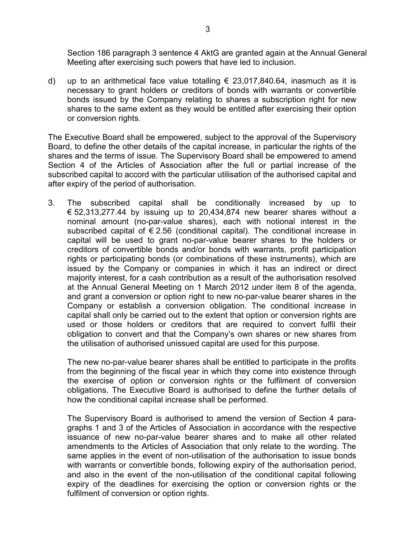Section 186 paragraph 3 sentence 4 AktG are granted again at the Annual General Meeting after exercising such powers that have led to inclusion.

d) up to an arithmetical face value totalling  $\epsilon$  23,017,840.64, inasmuch as it is necessary to grant holders or creditors of bonds with warrants or convertible bonds issued by the Company relating to shares a subscription right for new shares to the same extent as they would be entitled after exercising their option or conversion rights.

The Executive Board shall be empowered, subject to the approval of the Supervisory Board, to define the other details of the capital increase, in particular the rights of the shares and the terms of issue. The Supervisory Board shall be empowered to amend Section 4 of the Articles of Association after the full or partial increase of the subscribed capital to accord with the particular utilisation of the authorised capital and after expiry of the period of authorisation.

3. The subscribed capital shall be conditionally increased by up to € 52,313,277.44 by issuing up to 20,434,874 new bearer shares without a nominal amount (no-par-value shares), each with notional interest in the subscribed capital of  $\epsilon$  2.56 (conditional capital). The conditional increase in capital will be used to grant no-par-value bearer shares to the holders or creditors of convertible bonds and/or bonds with warrants, profit participation rights or participating bonds (or combinations of these instruments), which are issued by the Company or companies in which it has an indirect or direct majority interest, for a cash contribution as a result of the authorisation resolved at the Annual General Meeting on 1 March 2012 under item 8 of the agenda, and grant a conversion or option right to new no-par-value bearer shares in the Company or establish a conversion obligation. The conditional increase in capital shall only be carried out to the extent that option or conversion rights are used or those holders or creditors that are required to convert fulfil their obligation to convert and that the Company's own shares or new shares from the utilisation of authorised unissued capital are used for this purpose.

The new no-par-value bearer shares shall be entitled to participate in the profits from the beginning of the fiscal year in which they come into existence through the exercise of option or conversion rights or the fulfilment of conversion obligations. The Executive Board is authorised to define the further details of how the conditional capital increase shall be performed.

The Supervisory Board is authorised to amend the version of Section 4 paragraphs 1 and 3 of the Articles of Association in accordance with the respective issuance of new no-par-value bearer shares and to make all other related amendments to the Articles of Association that only relate to the wording. The same applies in the event of non-utilisation of the authorisation to issue bonds with warrants or convertible bonds, following expiry of the authorisation period, and also in the event of the non-utilisation of the conditional capital following expiry of the deadlines for exercising the option or conversion rights or the fulfilment of conversion or option rights.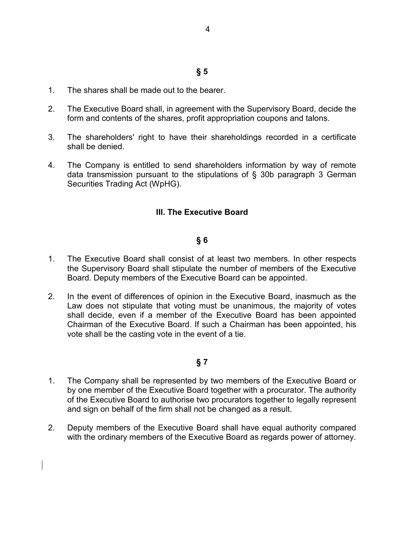# **§ 5**

- 1. The shares shall be made out to the bearer.
- 2. The Executive Board shall, in agreement with the Supervisory Board, decide the form and contents of the shares, profit appropriation coupons and talons.
- 3. The shareholders' right to have their shareholdings recorded in a certificate shall be denied.
- 4. The Company is entitled to send shareholders information by way of remote data transmission pursuant to the stipulations of § 30b paragraph 3 German Securities Trading Act (WpHG).

# **III. The Executive Board**

## **§ 6**

- 1. The Executive Board shall consist of at least two members. In other respects the Supervisory Board shall stipulate the number of members of the Executive Board. Deputy members of the Executive Board can be appointed.
- 2. In the event of differences of opinion in the Executive Board, inasmuch as the Law does not stipulate that voting must be unanimous, the majority of votes shall decide, even if a member of the Executive Board has been appointed Chairman of the Executive Board. If such a Chairman has been appointed, his vote shall be the casting vote in the event of a tie.

- 1. The Company shall be represented by two members of the Executive Board or by one member of the Executive Board together with a procurator. The authority of the Executive Board to authorise two procurators together to legally represent and sign on behalf of the firm shall not be changed as a result.
- 2. Deputy members of the Executive Board shall have equal authority compared with the ordinary members of the Executive Board as regards power of attorney.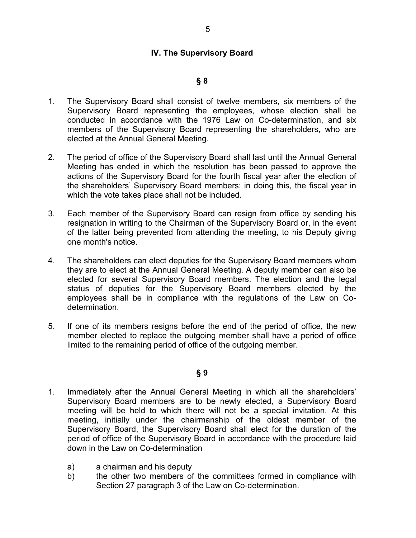### **IV. The Supervisory Board**

### **§ 8**

- 1. The Supervisory Board shall consist of twelve members, six members of the Supervisory Board representing the employees, whose election shall be conducted in accordance with the 1976 Law on Co-determination, and six members of the Supervisory Board representing the shareholders, who are elected at the Annual General Meeting.
- 2. The period of office of the Supervisory Board shall last until the Annual General Meeting has ended in which the resolution has been passed to approve the actions of the Supervisory Board for the fourth fiscal year after the election of the shareholders' Supervisory Board members; in doing this, the fiscal year in which the vote takes place shall not be included.
- 3. Each member of the Supervisory Board can resign from office by sending his resignation in writing to the Chairman of the Supervisory Board or, in the event of the latter being prevented from attending the meeting, to his Deputy giving one month's notice.
- 4. The shareholders can elect deputies for the Supervisory Board members whom they are to elect at the Annual General Meeting. A deputy member can also be elected for several Supervisory Board members. The election and the legal status of deputies for the Supervisory Board members elected by the employees shall be in compliance with the regulations of the Law on Codetermination.
- 5. If one of its members resigns before the end of the period of office, the new member elected to replace the outgoing member shall have a period of office limited to the remaining period of office of the outgoing member.

- 1. Immediately after the Annual General Meeting in which all the shareholders' Supervisory Board members are to be newly elected, a Supervisory Board meeting will be held to which there will not be a special invitation. At this meeting, initially under the chairmanship of the oldest member of the Supervisory Board, the Supervisory Board shall elect for the duration of the period of office of the Supervisory Board in accordance with the procedure laid down in the Law on Co-determination
	- a) a chairman and his deputy
	- b) the other two members of the committees formed in compliance with Section 27 paragraph 3 of the Law on Co-determination.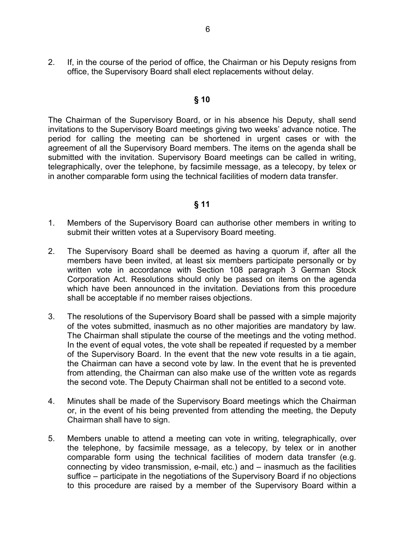2. If, in the course of the period of office, the Chairman or his Deputy resigns from office, the Supervisory Board shall elect replacements without delay.

#### **§ 10**

The Chairman of the Supervisory Board, or in his absence his Deputy, shall send invitations to the Supervisory Board meetings giving two weeks' advance notice. The period for calling the meeting can be shortened in urgent cases or with the agreement of all the Supervisory Board members. The items on the agenda shall be submitted with the invitation. Supervisory Board meetings can be called in writing, telegraphically, over the telephone, by facsimile message, as a telecopy, by telex or in another comparable form using the technical facilities of modern data transfer.

- 1. Members of the Supervisory Board can authorise other members in writing to submit their written votes at a Supervisory Board meeting.
- 2. The Supervisory Board shall be deemed as having a quorum if, after all the members have been invited, at least six members participate personally or by written vote in accordance with Section 108 paragraph 3 German Stock Corporation Act. Resolutions should only be passed on items on the agenda which have been announced in the invitation. Deviations from this procedure shall be acceptable if no member raises objections.
- 3. The resolutions of the Supervisory Board shall be passed with a simple majority of the votes submitted, inasmuch as no other majorities are mandatory by law. The Chairman shall stipulate the course of the meetings and the voting method. In the event of equal votes, the vote shall be repeated if requested by a member of the Supervisory Board. In the event that the new vote results in a tie again, the Chairman can have a second vote by law. In the event that he is prevented from attending, the Chairman can also make use of the written vote as regards the second vote. The Deputy Chairman shall not be entitled to a second vote.
- 4. Minutes shall be made of the Supervisory Board meetings which the Chairman or, in the event of his being prevented from attending the meeting, the Deputy Chairman shall have to sign.
- 5. Members unable to attend a meeting can vote in writing, telegraphically, over the telephone, by facsimile message, as a telecopy, by telex or in another comparable form using the technical facilities of modern data transfer (e.g. connecting by video transmission, e-mail, etc.) and – inasmuch as the facilities suffice – participate in the negotiations of the Supervisory Board if no objections to this procedure are raised by a member of the Supervisory Board within a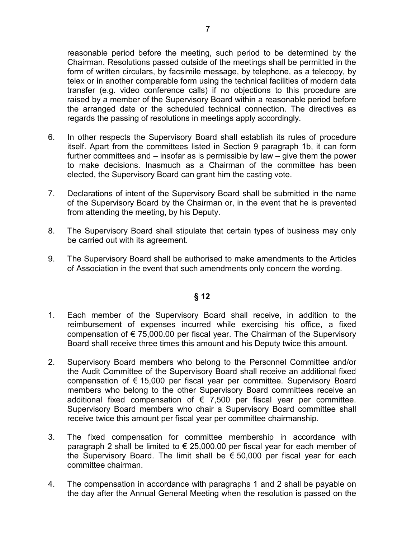reasonable period before the meeting, such period to be determined by the Chairman. Resolutions passed outside of the meetings shall be permitted in the form of written circulars, by facsimile message, by telephone, as a telecopy, by telex or in another comparable form using the technical facilities of modern data transfer (e.g. video conference calls) if no objections to this procedure are raised by a member of the Supervisory Board within a reasonable period before the arranged date or the scheduled technical connection. The directives as regards the passing of resolutions in meetings apply accordingly.

- 6. In other respects the Supervisory Board shall establish its rules of procedure itself. Apart from the committees listed in Section 9 paragraph 1b, it can form further committees and – insofar as is permissible by law – give them the power to make decisions. Inasmuch as a Chairman of the committee has been elected, the Supervisory Board can grant him the casting vote.
- 7. Declarations of intent of the Supervisory Board shall be submitted in the name of the Supervisory Board by the Chairman or, in the event that he is prevented from attending the meeting, by his Deputy.
- 8. The Supervisory Board shall stipulate that certain types of business may only be carried out with its agreement.
- 9. The Supervisory Board shall be authorised to make amendments to the Articles of Association in the event that such amendments only concern the wording.

- 1. Each member of the Supervisory Board shall receive, in addition to the reimbursement of expenses incurred while exercising his office, a fixed compensation of € 75,000.00 per fiscal year. The Chairman of the Supervisory Board shall receive three times this amount and his Deputy twice this amount.
- 2. Supervisory Board members who belong to the Personnel Committee and/or the Audit Committee of the Supervisory Board shall receive an additional fixed compensation of € 15,000 per fiscal year per committee. Supervisory Board members who belong to the other Supervisory Board committees receive an additional fixed compensation of  $\epsilon$  7,500 per fiscal year per committee. Supervisory Board members who chair a Supervisory Board committee shall receive twice this amount per fiscal year per committee chairmanship.
- 3. The fixed compensation for committee membership in accordance with paragraph 2 shall be limited to  $\epsilon$  25,000.00 per fiscal year for each member of the Supervisory Board. The limit shall be  $\epsilon$  50,000 per fiscal year for each committee chairman.
- 4. The compensation in accordance with paragraphs 1 and 2 shall be payable on the day after the Annual General Meeting when the resolution is passed on the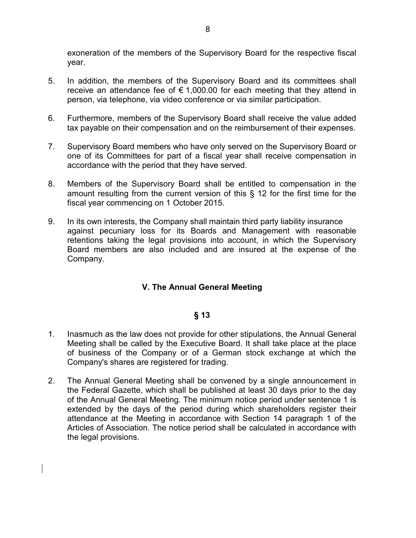exoneration of the members of the Supervisory Board for the respective fiscal year.

- 5. In addition, the members of the Supervisory Board and its committees shall receive an attendance fee of  $\epsilon$  1,000.00 for each meeting that they attend in person, via telephone, via video conference or via similar participation.
- 6. Furthermore, members of the Supervisory Board shall receive the value added tax payable on their compensation and on the reimbursement of their expenses.
- 7. Supervisory Board members who have only served on the Supervisory Board or one of its Committees for part of a fiscal year shall receive compensation in accordance with the period that they have served.
- 8. Members of the Supervisory Board shall be entitled to compensation in the amount resulting from the current version of this § 12 for the first time for the fiscal year commencing on 1 October 2015.
- 9. In its own interests, the Company shall maintain third party liability insurance against pecuniary loss for its Boards and Management with reasonable retentions taking the legal provisions into account, in which the Supervisory Board members are also included and are insured at the expense of the Company.

## **V. The Annual General Meeting**

- 1. Inasmuch as the law does not provide for other stipulations, the Annual General Meeting shall be called by the Executive Board. It shall take place at the place of business of the Company or of a German stock exchange at which the Company's shares are registered for trading.
- 2. The Annual General Meeting shall be convened by a single announcement in the Federal Gazette, which shall be published at least 30 days prior to the day of the Annual General Meeting. The minimum notice period under sentence 1 is extended by the days of the period during which shareholders register their attendance at the Meeting in accordance with Section 14 paragraph 1 of the Articles of Association. The notice period shall be calculated in accordance with the legal provisions.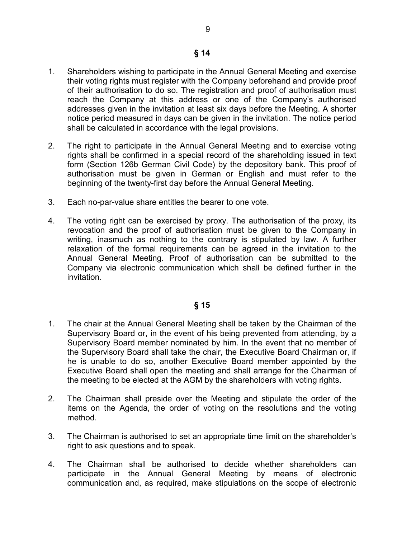- 1. Shareholders wishing to participate in the Annual General Meeting and exercise their voting rights must register with the Company beforehand and provide proof of their authorisation to do so. The registration and proof of authorisation must reach the Company at this address or one of the Company's authorised addresses given in the invitation at least six days before the Meeting. A shorter notice period measured in days can be given in the invitation. The notice period shall be calculated in accordance with the legal provisions.
- 2. The right to participate in the Annual General Meeting and to exercise voting rights shall be confirmed in a special record of the shareholding issued in text form (Section 126b German Civil Code) by the depository bank. This proof of authorisation must be given in German or English and must refer to the beginning of the twenty-first day before the Annual General Meeting.
- 3. Each no-par-value share entitles the bearer to one vote.
- 4. The voting right can be exercised by proxy. The authorisation of the proxy, its revocation and the proof of authorisation must be given to the Company in writing, inasmuch as nothing to the contrary is stipulated by law. A further relaxation of the formal requirements can be agreed in the invitation to the Annual General Meeting. Proof of authorisation can be submitted to the Company via electronic communication which shall be defined further in the invitation.

- 1. The chair at the Annual General Meeting shall be taken by the Chairman of the Supervisory Board or, in the event of his being prevented from attending, by a Supervisory Board member nominated by him. In the event that no member of the Supervisory Board shall take the chair, the Executive Board Chairman or, if he is unable to do so, another Executive Board member appointed by the Executive Board shall open the meeting and shall arrange for the Chairman of the meeting to be elected at the AGM by the shareholders with voting rights.
- 2. The Chairman shall preside over the Meeting and stipulate the order of the items on the Agenda, the order of voting on the resolutions and the voting method.
- 3. The Chairman is authorised to set an appropriate time limit on the shareholder's right to ask questions and to speak.
- 4. The Chairman shall be authorised to decide whether shareholders can participate in the Annual General Meeting by means of electronic communication and, as required, make stipulations on the scope of electronic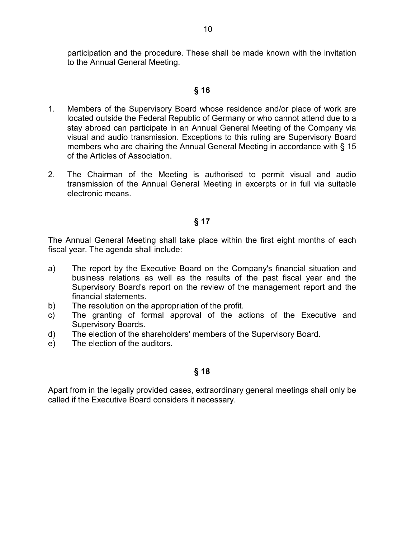participation and the procedure. These shall be made known with the invitation to the Annual General Meeting.

## **§ 16**

- 1. Members of the Supervisory Board whose residence and/or place of work are located outside the Federal Republic of Germany or who cannot attend due to a stay abroad can participate in an Annual General Meeting of the Company via visual and audio transmission. Exceptions to this ruling are Supervisory Board members who are chairing the Annual General Meeting in accordance with § 15 of the Articles of Association.
- 2. The Chairman of the Meeting is authorised to permit visual and audio transmission of the Annual General Meeting in excerpts or in full via suitable electronic means.

## **§ 17**

The Annual General Meeting shall take place within the first eight months of each fiscal year. The agenda shall include:

- a) The report by the Executive Board on the Company's financial situation and business relations as well as the results of the past fiscal year and the Supervisory Board's report on the review of the management report and the financial statements.
- b) The resolution on the appropriation of the profit.
- c) The granting of formal approval of the actions of the Executive and Supervisory Boards.
- d) The election of the shareholders' members of the Supervisory Board.
- e) The election of the auditors.

## **§ 18**

Apart from in the legally provided cases, extraordinary general meetings shall only be called if the Executive Board considers it necessary.